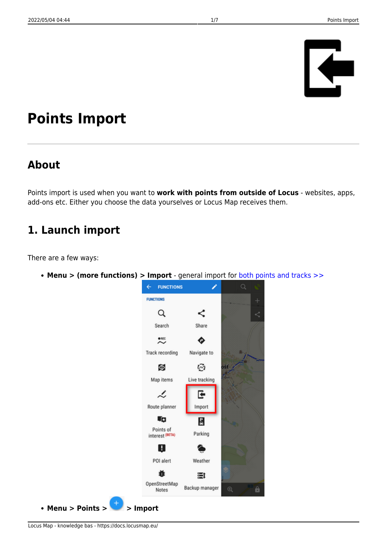# Ŀ

# **Points Import**

# **About**

Points import is used when you want to **work with points from outside of Locus** - websites, apps, add-ons etc. Either you choose the data yourselves or Locus Map receives them.

# **1. Launch import**

There are a few ways:

**Menu > (more functions) > Import** - general import for [both points and tracks >>](https://docs.locusmap.eu/doku.php?id=manual:user_guide:functions:data_import)

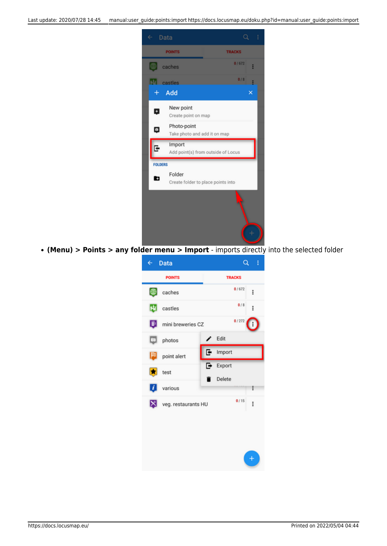

**(Menu) > Points > any folder menu > Import** - imports directly into the selected folder

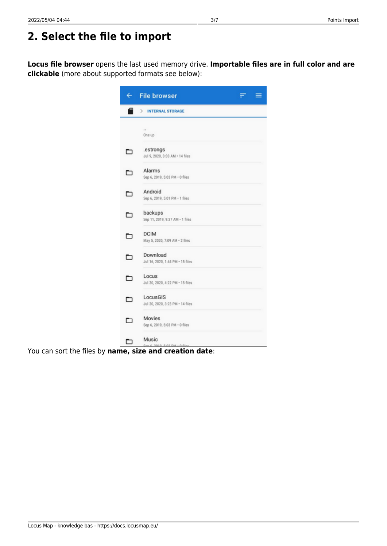**Locus file browser** opens the last used memory drive. **Importable files are in full color and are clickable** (more about supported formats see below):

| $\leftarrow$ | <b>File browser</b><br>═                      |
|--------------|-----------------------------------------------|
| E            | ⋋<br><b>INTERNAL STORAGE</b>                  |
|              | <br>One up                                    |
| □            | .estrongs<br>Jul 9, 2020, 3:03 AM - 14 files  |
| ㄱ            | Alarms<br>Sep 6, 2019, 5:03 PM · 0 files      |
| □            | Android<br>Sep 6, 2019, 5:01 PM · 1 files     |
| −            | backups<br>Sep 11, 2019, 9:37 AM - 1 files    |
| □            | <b>DCIM</b><br>May 5, 2020, 7:09 AM . 2 files |
| □            | Download<br>Jul 16, 2020, 1:44 PM · 15 files  |
| ▭            | Locus<br>Jul 20, 2020, 4:22 PM - 15 files     |
| ⊐            | LocusGIS<br>Jul 20, 2020, 3:23 PM - 14 files  |
| ㄱ            | Movies<br>Sep 6, 2019, 5:03 PM · 0 files      |
|              | Music<br>C-no mes<br>n es                     |

You can sort the files by **name, size and creation date**: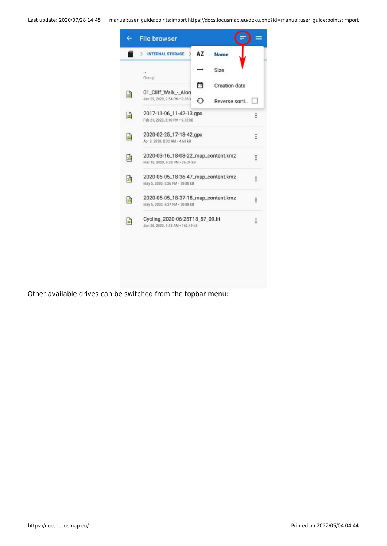

Other available drives can be switched from the topbar menu: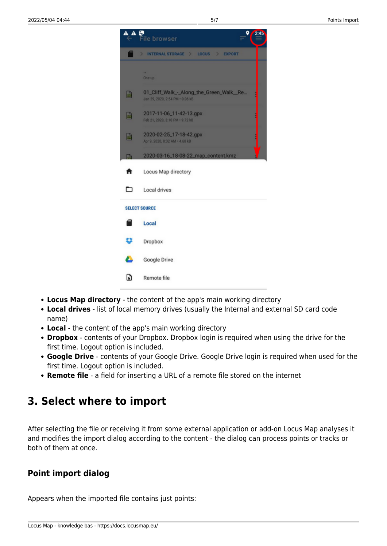

- **Locus Map directory** the content of the app's main working directory
- **Local drives** list of local memory drives (usually the Internal and external SD card code name)
- **Local** the content of the app's main working directory
- **Dropbox** contents of your Dropbox. Dropbox login is required when using the drive for the first time. Logout option is included.
- **Google Drive** contents of your Google Drive. Google Drive login is required when used for the first time. Logout option is included.
- **Remote file** a field for inserting a URL of a remote file stored on the internet

# **3. Select where to import**

After selecting the file or receiving it from some external application or add-on Locus Map analyses it and modifies the import dialog according to the content - the dialog can process points or tracks or both of them at once.

### **Point import dialog**

Appears when the imported file contains just points: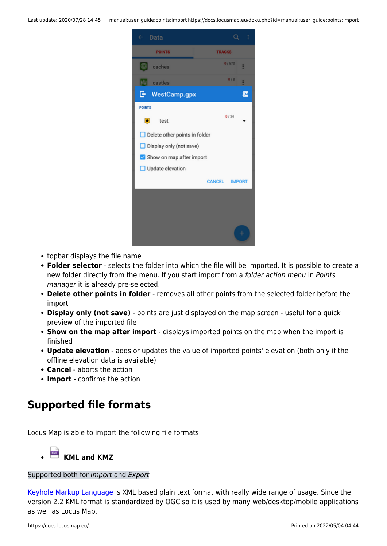

- topbar displays the file name
- **Folder selector** selects the folder into which the file will be imported. It is possible to create a new folder directly from the menu. If you start import from a folder action menu in Points manager it is already pre-selected.
- **Delete other points in folder** removes all other points from the selected folder before the import
- **Display only (not save)** points are just displayed on the map screen useful for a quick preview of the imported file
- **Show on the map after import** displays imported points on the map when the import is finished
- **Update elevation** adds or updates the value of imported points' elevation (both only if the offline elevation data is available)
- **Cancel** aborts the action
- **Import** confirms the action

# **Supported file formats**

Locus Map is able to import the following file formats:

# **KML and KMZ**

### Supported both for Import and Export

[Keyhole Markup Language](https://developers.google.com/kml/documentation/) is XML based plain text format with really wide range of usage. Since the version 2.2 KML format is standardized by OGC so it is used by many web/desktop/mobile applications as well as Locus Map.